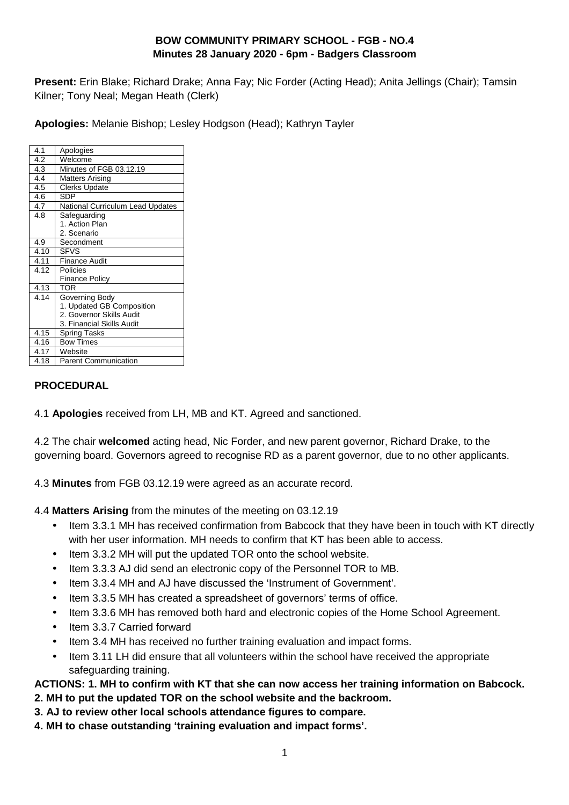# **BOW COMMUNITY PRIMARY SCHOOL - FGB - NO.4 Minutes 28 January 2020 - 6pm - Badgers Classroom**

**Present:** Erin Blake; Richard Drake; Anna Fay; Nic Forder (Acting Head); Anita Jellings (Chair); Tamsin Kilner; Tony Neal; Megan Heath (Clerk)

**Apologies:** Melanie Bishop; Lesley Hodgson (Head); Kathryn Tayler

| 4.1  | Apologies                        |
|------|----------------------------------|
| 4.2  | Welcome                          |
| 4.3  | Minutes of FGB 03.12.19          |
| 4.4  | <b>Matters Arising</b>           |
| 4.5  | <b>Clerks Update</b>             |
| 4.6  | <b>SDP</b>                       |
| 4.7  | National Curriculum Lead Updates |
| 4.8  | Safeguarding                     |
|      | 1. Action Plan                   |
|      | 2. Scenario                      |
| 4.9  | Secondment                       |
| 4.10 | <b>SFVS</b>                      |
| 4.11 | <b>Finance Audit</b>             |
| 4.12 | Policies                         |
|      | <b>Finance Policy</b>            |
| 4.13 | <b>TOR</b>                       |
| 4.14 | Governing Body                   |
|      | 1. Updated GB Composition        |
|      | 2. Governor Skills Audit         |
|      | 3. Financial Skills Audit        |
| 4.15 | <b>Spring Tasks</b>              |
| 4.16 | <b>Bow Times</b>                 |
| 4.17 | Website                          |
| 4.18 | <b>Parent Communication</b>      |
|      |                                  |

#### **PROCEDURAL**

4.1 **Apologies** received from LH, MB and KT. Agreed and sanctioned.

4.2 The chair **welcomed** acting head, Nic Forder, and new parent governor, Richard Drake, to the governing board. Governors agreed to recognise RD as a parent governor, due to no other applicants.

4.3 **Minutes** from FGB 03.12.19 were agreed as an accurate record.

4.4 **Matters Arising** from the minutes of the meeting on 03.12.19

- Item 3.3.1 MH has received confirmation from Babcock that they have been in touch with KT directly with her user information. MH needs to confirm that KT has been able to access.
- Item 3.3.2 MH will put the updated TOR onto the school website.
- Item 3.3.3 AJ did send an electronic copy of the Personnel TOR to MB.
- Item 3.3.4 MH and AJ have discussed the 'Instrument of Government'.
- Item 3.3.5 MH has created a spreadsheet of governors' terms of office.
- Item 3.3.6 MH has removed both hard and electronic copies of the Home School Agreement.
- Item 3.3.7 Carried forward
- Item 3.4 MH has received no further training evaluation and impact forms.
- Item 3.11 LH did ensure that all volunteers within the school have received the appropriate safeguarding training.

# **ACTIONS: 1. MH to confirm with KT that she can now access her training information on Babcock.**

- **2. MH to put the updated TOR on the school website and the backroom.**
- **3. AJ to review other local schools attendance figures to compare.**
- **4. MH to chase outstanding 'training evaluation and impact forms'.**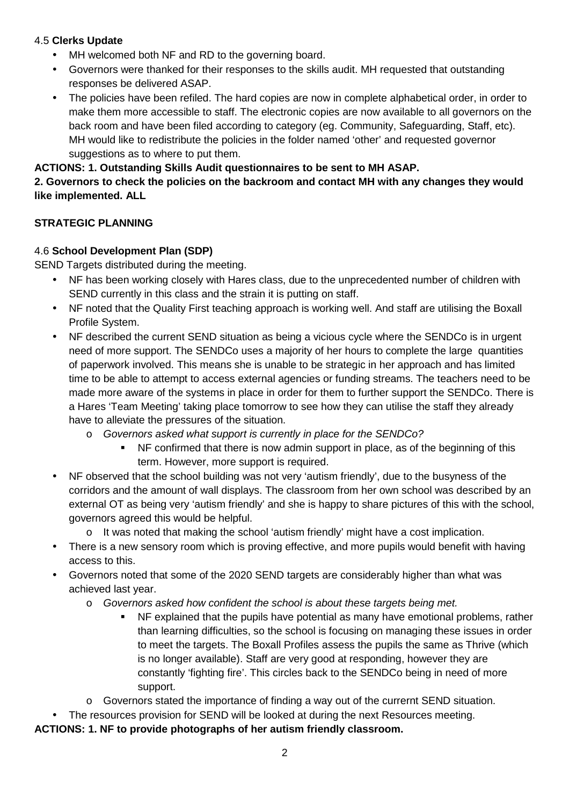#### 4.5 **Clerks Update**

- MH welcomed both NF and RD to the governing board.
- Governors were thanked for their responses to the skills audit. MH requested that outstanding responses be delivered ASAP.
- The policies have been refiled. The hard copies are now in complete alphabetical order, in order to make them more accessible to staff. The electronic copies are now available to all governors on the back room and have been filed according to category (eg. Community, Safeguarding, Staff, etc). MH would like to redistribute the policies in the folder named 'other' and requested governor suggestions as to where to put them.

### **ACTIONS: 1. Outstanding Skills Audit questionnaires to be sent to MH ASAP.**

#### **2. Governors to check the policies on the backroom and contact MH with any changes they would like implemented. ALL**

### **STRATEGIC PLANNING**

### 4.6 **School Development Plan (SDP)**

SEND Targets distributed during the meeting.

- NF has been working closely with Hares class, due to the unprecedented number of children with SEND currently in this class and the strain it is putting on staff.
- NF noted that the Quality First teaching approach is working well. And staff are utilising the Boxall Profile System.
- NF described the current SEND situation as being a vicious cycle where the SENDCo is in urgent need of more support. The SENDCo uses a majority of her hours to complete the large quantities of paperwork involved. This means she is unable to be strategic in her approach and has limited time to be able to attempt to access external agencies or funding streams. The teachers need to be made more aware of the systems in place in order for them to further support the SENDCo. There is a Hares 'Team Meeting' taking place tomorrow to see how they can utilise the staff they already have to alleviate the pressures of the situation.
	- o Governors asked what support is currently in place for the SENDCo?
		- NF confirmed that there is now admin support in place, as of the beginning of this term. However, more support is required.
- NF observed that the school building was not very 'autism friendly', due to the busyness of the corridors and the amount of wall displays. The classroom from her own school was described by an external OT as being very 'autism friendly' and she is happy to share pictures of this with the school, governors agreed this would be helpful.
	- $\circ$  It was noted that making the school 'autism friendly' might have a cost implication.
- There is a new sensory room which is proving effective, and more pupils would benefit with having access to this.
- Governors noted that some of the 2020 SEND targets are considerably higher than what was achieved last year.
	- o Governors asked how confident the school is about these targets being met.
		- NF explained that the pupils have potential as many have emotional problems, rather than learning difficulties, so the school is focusing on managing these issues in order to meet the targets. The Boxall Profiles assess the pupils the same as Thrive (which is no longer available). Staff are very good at responding, however they are constantly 'fighting fire'. This circles back to the SENDCo being in need of more support.
	- o Governors stated the importance of finding a way out of the currernt SEND situation.
- The resources provision for SEND will be looked at during the next Resources meeting.

**ACTIONS: 1. NF to provide photographs of her autism friendly classroom.**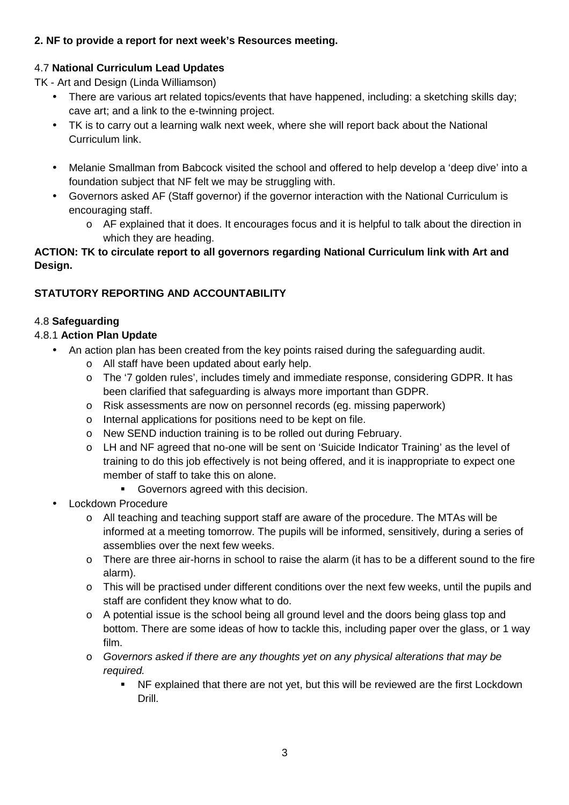# **2. NF to provide a report for next week's Resources meeting.**

### 4.7 **National Curriculum Lead Updates**

TK - Art and Design (Linda Williamson)

- There are various art related topics/events that have happened, including: a sketching skills day; cave art; and a link to the e-twinning project.
- TK is to carry out a learning walk next week, where she will report back about the National Curriculum link.
- Melanie Smallman from Babcock visited the school and offered to help develop a 'deep dive' into a foundation subject that NF felt we may be struggling with.
- Governors asked AF (Staff governor) if the governor interaction with the National Curriculum is encouraging staff.
	- o AF explained that it does. It encourages focus and it is helpful to talk about the direction in which they are heading.

### **ACTION: TK to circulate report to all governors regarding National Curriculum link with Art and Design.**

# **STATUTORY REPORTING AND ACCOUNTABILITY**

### 4.8 **Safeguarding**

### 4.8.1 **Action Plan Update**

- An action plan has been created from the key points raised during the safeguarding audit.
	- o All staff have been updated about early help.
	- o The '7 golden rules', includes timely and immediate response, considering GDPR. It has been clarified that safeguarding is always more important than GDPR.
	- o Risk assessments are now on personnel records (eg. missing paperwork)
	- o Internal applications for positions need to be kept on file.
	- o New SEND induction training is to be rolled out during February.
	- o LH and NF agreed that no-one will be sent on 'Suicide Indicator Training' as the level of training to do this job effectively is not being offered, and it is inappropriate to expect one member of staff to take this on alone.
		- Governors agreed with this decision.
- Lockdown Procedure
	- o All teaching and teaching support staff are aware of the procedure. The MTAs will be informed at a meeting tomorrow. The pupils will be informed, sensitively, during a series of assemblies over the next few weeks.
	- o There are three air-horns in school to raise the alarm (it has to be a different sound to the fire alarm).
	- $\circ$  This will be practised under different conditions over the next few weeks, until the pupils and staff are confident they know what to do.
	- o A potential issue is the school being all ground level and the doors being glass top and bottom. There are some ideas of how to tackle this, including paper over the glass, or 1 way film.
	- o Governors asked if there are any thoughts yet on any physical alterations that may be required.
		- NF explained that there are not yet, but this will be reviewed are the first Lockdown Drill.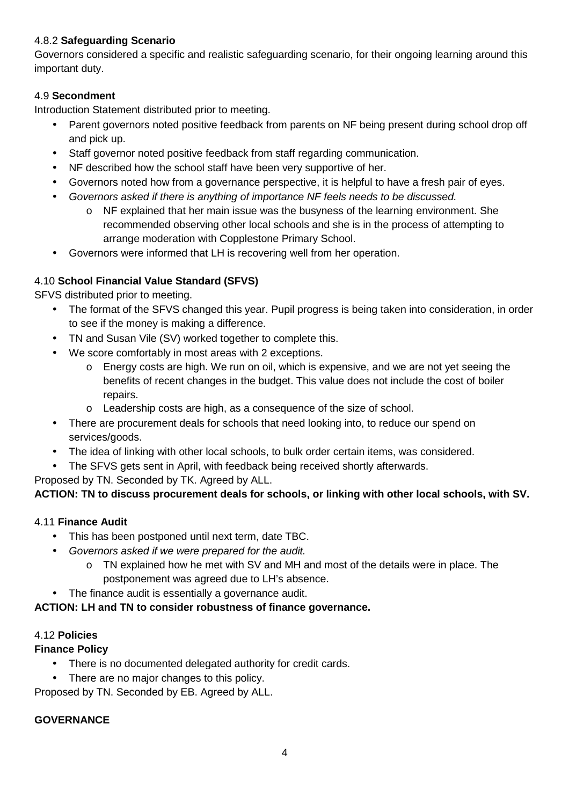### 4.8.2 **Safeguarding Scenario**

Governors considered a specific and realistic safeguarding scenario, for their ongoing learning around this important duty.

# 4.9 **Secondment**

Introduction Statement distributed prior to meeting.

- Parent governors noted positive feedback from parents on NF being present during school drop off and pick up.
- Staff governor noted positive feedback from staff regarding communication.
- NF described how the school staff have been very supportive of her.
- Governors noted how from a governance perspective, it is helpful to have a fresh pair of eyes.
- Governors asked if there is anything of importance NF feels needs to be discussed.
	- o NF explained that her main issue was the busyness of the learning environment. She recommended observing other local schools and she is in the process of attempting to arrange moderation with Copplestone Primary School.
- Governors were informed that LH is recovering well from her operation.

# 4.10 **School Financial Value Standard (SFVS)**

SFVS distributed prior to meeting.

- The format of the SFVS changed this year. Pupil progress is being taken into consideration, in order to see if the money is making a difference.
- TN and Susan Vile (SV) worked together to complete this.
- We score comfortably in most areas with 2 exceptions.
	- o Energy costs are high. We run on oil, which is expensive, and we are not yet seeing the benefits of recent changes in the budget. This value does not include the cost of boiler repairs.
	- o Leadership costs are high, as a consequence of the size of school.
- There are procurement deals for schools that need looking into, to reduce our spend on services/goods.
- The idea of linking with other local schools, to bulk order certain items, was considered.
- The SFVS gets sent in April, with feedback being received shortly afterwards.

Proposed by TN. Seconded by TK. Agreed by ALL.

# **ACTION: TN to discuss procurement deals for schools, or linking with other local schools, with SV.**

#### 4.11 **Finance Audit**

- This has been postponed until next term, date TBC.
- Governors asked if we were prepared for the audit.
	- o TN explained how he met with SV and MH and most of the details were in place. The postponement was agreed due to LH's absence.
- The finance audit is essentially a governance audit.

#### **ACTION: LH and TN to consider robustness of finance governance.**

#### 4.12 **Policies**

# **Finance Policy**

- There is no documented delegated authority for credit cards.
- There are no major changes to this policy.

Proposed by TN. Seconded by EB. Agreed by ALL.

#### **GOVERNANCE**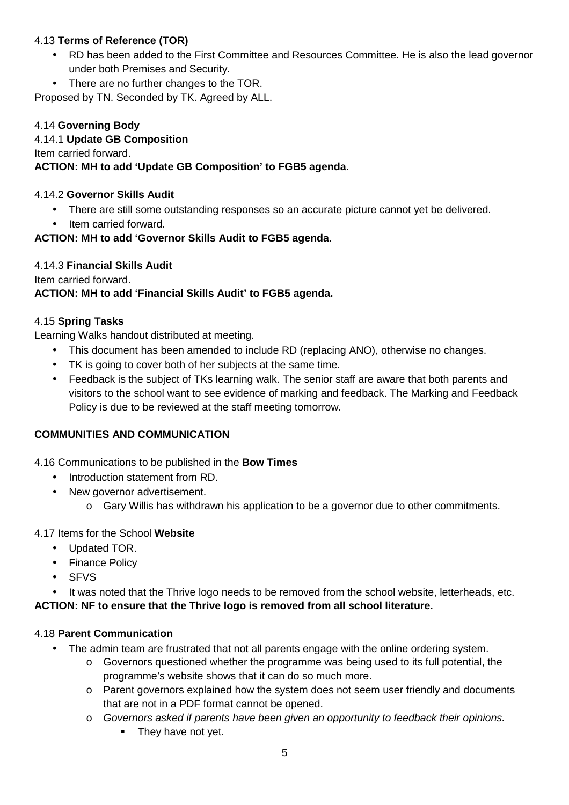### 4.13 **Terms of Reference (TOR)**

- RD has been added to the First Committee and Resources Committee. He is also the lead governor under both Premises and Security.
- There are no further changes to the TOR.

Proposed by TN. Seconded by TK. Agreed by ALL.

#### 4.14 **Governing Body**

#### 4.14.1 **Update GB Composition**

Item carried forward.

#### **ACTION: MH to add 'Update GB Composition' to FGB5 agenda.**

#### 4.14.2 **Governor Skills Audit**

- There are still some outstanding responses so an accurate picture cannot yet be delivered.
- Item carried forward.

#### **ACTION: MH to add 'Governor Skills Audit to FGB5 agenda.**

#### 4.14.3 **Financial Skills Audit**

Item carried forward.

#### **ACTION: MH to add 'Financial Skills Audit' to FGB5 agenda.**

#### 4.15 **Spring Tasks**

Learning Walks handout distributed at meeting.

- This document has been amended to include RD (replacing ANO), otherwise no changes.
- TK is going to cover both of her subjects at the same time.
- Feedback is the subject of TKs learning walk. The senior staff are aware that both parents and visitors to the school want to see evidence of marking and feedback. The Marking and Feedback Policy is due to be reviewed at the staff meeting tomorrow.

#### **COMMUNITIES AND COMMUNICATION**

4.16 Communications to be published in the **Bow Times** 

- Introduction statement from RD.
- New governor advertisement.
	- o Gary Willis has withdrawn his application to be a governor due to other commitments.

#### 4.17 Items for the School **Website**

- Updated TOR.
- Finance Policy
- SFVS

• It was noted that the Thrive logo needs to be removed from the school website, letterheads, etc. **ACTION: NF to ensure that the Thrive logo is removed from all school literature.** 

#### 4.18 **Parent Communication**

- The admin team are frustrated that not all parents engage with the online ordering system.
	- $\circ$  Governors questioned whether the programme was being used to its full potential, the programme's website shows that it can do so much more.
	- o Parent governors explained how the system does not seem user friendly and documents that are not in a PDF format cannot be opened.
	- o Governors asked if parents have been given an opportunity to feedback their opinions.
		- They have not yet.